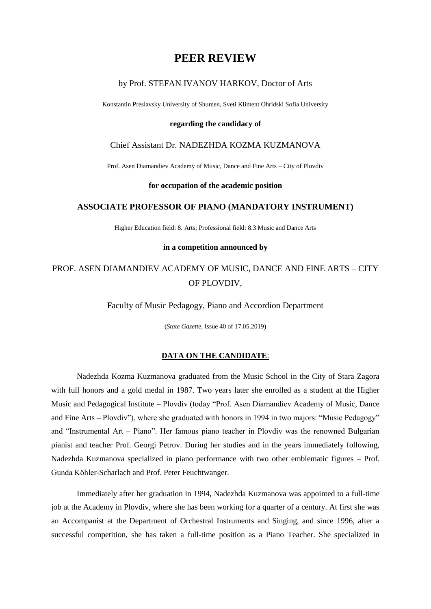## **PEER REVIEW**

## by Prof. STEFAN IVANOV HARKOV, Doctor of Arts

Konstantin Preslavsky University of Shumen, Sveti Kliment Ohridski Sofia University

## **regarding the candidacy of**

## Chief Assistant Dr. NADEZHDA KOZMA KUZMANOVA

Prof. Asen Diamandiev Academy of Music, Dance and Fine Arts – City of Plovdiv

## **for occupation of the academic position**

## **ASSOCIATE PROFESSOR OF PIANO (MANDATORY INSTRUMENT)**

Higher Education field: 8. Arts; Professional field: 8.3 Music and Dance Arts

#### **in a competition announced by**

# PROF. ASEN DIAMANDIEV ACADEMY OF MUSIC, DANCE AND FINE ARTS – CITY OF PLOVDIV,

Faculty of Music Pedagogy, Piano and Accordion Department

(*State Gazette*, Issue 40 of 17.05.2019)

## **DATA ON THE CANDIDATE**:

Nadezhda Kozma Kuzmanova graduated from the Music School in the City of Stara Zagora with full honors and a gold medal in 1987. Two years later she enrolled as a student at the Higher Music and Pedagogical Institute – Plovdiv (today "Prof. Asen Diamandiev Academy of Music, Dance and Fine Arts – Plovdiv"), where she graduated with honors in 1994 in two majors: "Music Pedagogy" and "Instrumental Art – Piano". Her famous piano teacher in Plovdiv was the renowned Bulgarian pianist and teacher Prof. Georgi Petrov. During her studies and in the years immediately following, Nadezhda Kuzmanova specialized in piano performance with two other emblematic figures – Prof. Gunda Köhler-Scharlach and Prof. Peter Feuchtwanger.

Immediately after her graduation in 1994, Nadezhda Kuzmanova was appointed to a full-time job at the Academy in Plovdiv, where she has been working for a quarter of a century. At first she was an Accompanist at the Department of Orchestral Instruments and Singing, and since 1996, after a successful competition, she has taken a full-time position as a Piano Teacher. She specialized in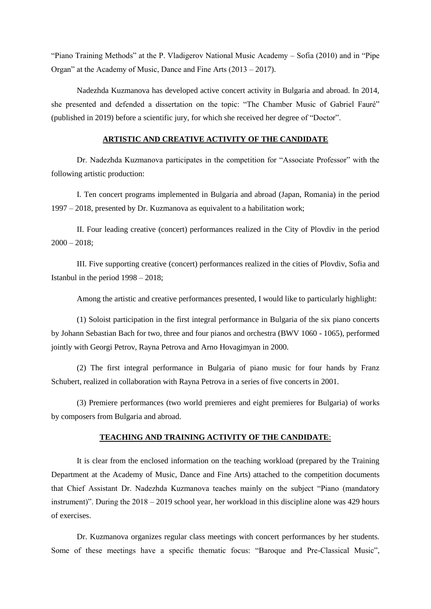"Piano Training Methods" at the P. Vladigerov National Music Academy – Sofia (2010) and in "Pipe Organ" at the Academy of Music, Dance and Fine Arts (2013 – 2017).

Nadezhda Kuzmanova has developed active concert activity in Bulgaria and abroad. In 2014, she presented and defended a dissertation on the topic: "The Chamber Music of Gabriel Fauré" (published in 2019) before a scientific jury, for which she received her degree of "Doctor".

## **ARTISTIC AND CREATIVE ACTIVITY OF THE CANDIDATE**

Dr. Nadezhda Kuzmanova participates in the competition for "Associate Professor" with the following artistic production:

I. Ten concert programs implemented in Bulgaria and abroad (Japan, Romania) in the period 1997 – 2018, presented by Dr. Kuzmanova as equivalent to a habilitation work;

II. Four leading creative (concert) performances realized in the City of Plovdiv in the period  $2000 - 2018$ ;

III. Five supporting creative (concert) performances realized in the cities of Plovdiv, Sofia and Istanbul in the period 1998 – 2018;

Among the artistic and creative performances presented, I would like to particularly highlight:

(1) Soloist participation in the first integral performance in Bulgaria of the six piano concerts by Johann Sebastian Bach for two, three and four pianos and orchestra (BWV 1060 - 1065), performed jointly with Georgi Petrov, Rayna Petrova and Arno Hovagimyan in 2000.

(2) The first integral performance in Bulgaria of piano music for four hands by Franz Schubert, realized in collaboration with Rayna Petrova in a series of five concerts in 2001.

(3) Premiere performances (two world premieres and eight premieres for Bulgaria) of works by composers from Bulgaria and abroad.

## **TEACHING AND TRAINING ACTIVITY OF THE CANDIDATE**:

It is clear from the enclosed information on the teaching workload (prepared by the Training Department at the Academy of Music, Dance and Fine Arts) attached to the competition documents that Chief Assistant Dr. Nadezhda Kuzmanova teaches mainly on the subject "Piano (mandatory instrument)". During the 2018 – 2019 school year, her workload in this discipline alone was 429 hours of exercises.

Dr. Kuzmanova organizes regular class meetings with concert performances by her students. Some of these meetings have a specific thematic focus: "Baroque and Pre-Classical Music",